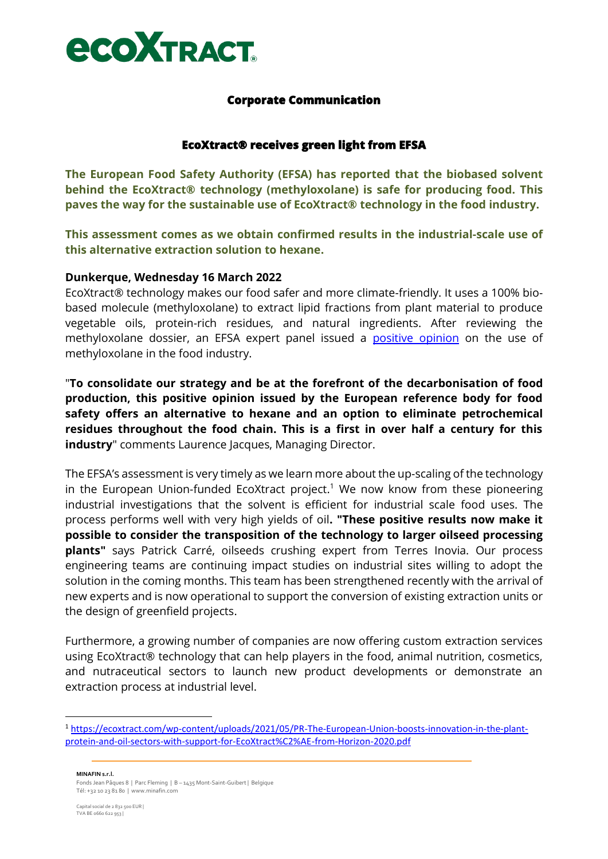

# **Corporate Communication**

## **EcoXtract® receives green light from EFSA**

**The European Food Safety Authority (EFSA) has reported that the biobased solvent behind the EcoXtract® technology (methyloxolane) is safe for producing food. This paves the way for the sustainable use of EcoXtract® technology in the food industry.**

**This assessment comes as we obtain confirmed results in the industrial-scale use of this alternative extraction solution to hexane.**

### **Dunkerque, Wednesday 16 March 2022**

EcoXtract® technology makes our food safer and more climate-friendly. It uses a 100% biobased molecule (methyloxolane) to extract lipid fractions from plant material to produce vegetable oils, protein-rich residues, and natural ingredients. After reviewing the methyloxolane dossier, an EFSA expert panel issued a [positive](https://efsa.onlinelibrary.wiley.com/doi/full/10.2903/j.efsa.2022.7138) opinion on the use of methyloxolane in the food industry.

"**To consolidate our strategy and be at the forefront of the decarbonisation of food production, this positive opinion issued by the European reference body for food safety offers an alternative to hexane and an option to eliminate petrochemical residues throughout the food chain. This is a first in over half a century for this industry**" comments Laurence Jacques, Managing Director.

The EFSA's assessment is very timely as we learn more about the up-scaling of the technology in the European Union-funded EcoXtract project.<sup>1</sup> We now know from these pioneering industrial investigations that the solvent is efficient for industrial scale food uses. The process performs well with very high yields of oil**. "These positive results now make it possible to consider the transposition of the technology to larger oilseed processing plants"** says Patrick Carré, oilseeds crushing expert from Terres Inovia. Our process engineering teams are continuing impact studies on industrial sites willing to adopt the solution in the coming months. This team has been strengthened recently with the arrival of new experts and is now operational to support the conversion of existing extraction units or the design of greenfield projects.

Furthermore, a growing number of companies are now offering custom extraction services using EcoXtract® technology that can help players in the food, animal nutrition, cosmetics, and nutraceutical sectors to launch new product developments or demonstrate an extraction process at industrial level.

**MINAFIN s.r.l.** Fonds Jean Pâques 8 | Parc Fleming | B – 1435 Mont-Saint-Guibert | Belgique Tél: +32 10 23 81 80 | www.minafin.com

<sup>1</sup> [https://ecoxtract.com/wp-content/uploads/2021/05/PR-The-European-Union-boosts-innovation-in-the-plant](https://ecoxtract.com/wp-content/uploads/2021/05/PR-The-European-Union-boosts-innovation-in-the-plant-protein-and-oil-sectors-with-support-for-EcoXtract%C2%AE-from-Horizon-2020.pdf)[protein-and-oil-sectors-with-support-for-EcoXtract%C2%AE-from-Horizon-2020.pdf](https://ecoxtract.com/wp-content/uploads/2021/05/PR-The-European-Union-boosts-innovation-in-the-plant-protein-and-oil-sectors-with-support-for-EcoXtract%C2%AE-from-Horizon-2020.pdf)